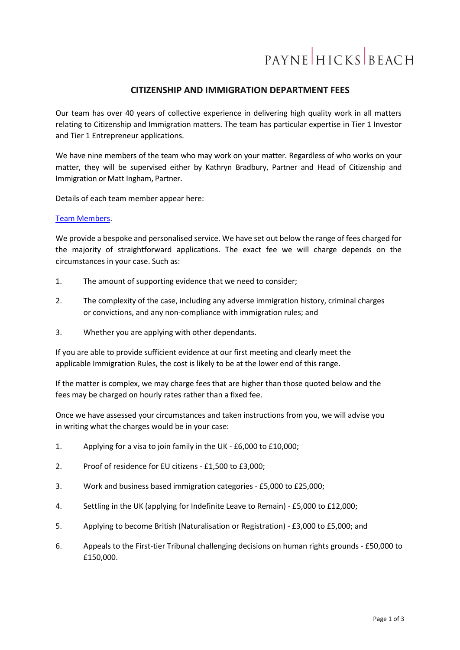# **PAYNE HICKS BEACH**

# **CITIZENSHIP AND IMMIGRATION DEPARTMENT FEES**

Our team has over 40 years of collective experience in delivering high quality work in all matters relating to Citizenship and Immigration matters. The team has particular expertise in Tier 1 Investor and Tier 1 Entrepreneur applications.

We have nine members of the team who may work on your matter. Regardless of who works on your matter, they will be supervised either by Kathryn Bradbury, Partner and Head of Citizenship and Immigration or Matt Ingham, Partner.

Details of each team member appear here:

#### [Team Members.](https://www.phb.co.uk/our-services/citizenship-immigration)

We provide a bespoke and personalised service. We have set out below the range of fees charged for the majority of straightforward applications. The exact fee we will charge depends on the circumstances in your case. Such as:

- 1. The amount of supporting evidence that we need to consider;
- 2. The complexity of the case, including any adverse immigration history, criminal charges or convictions, and any non-compliance with immigration rules; and
- 3. Whether you are applying with other dependants.

If you are able to provide sufficient evidence at our first meeting and clearly meet the applicable Immigration Rules, the cost is likely to be at the lower end of this range.

If the matter is complex, we may charge fees that are higher than those quoted below and the fees may be charged on hourly rates rather than a fixed fee.

Once we have assessed your circumstances and taken instructions from you, we will advise you in writing what the charges would be in your case:

- 1. Applying for a visa to join family in the UK £6,000 to £10,000;
- 2. Proof of residence for EU citizens £1,500 to £3,000;
- 3. Work and business based immigration categories £5,000 to £25,000;
- 4. Settling in the UK (applying for Indefinite Leave to Remain) £5,000 to £12,000;
- 5. Applying to become British (Naturalisation or Registration) £3,000 to £5,000; and
- 6. Appeals to the First-tier Tribunal challenging decisions on human rights grounds £50,000 to £150,000.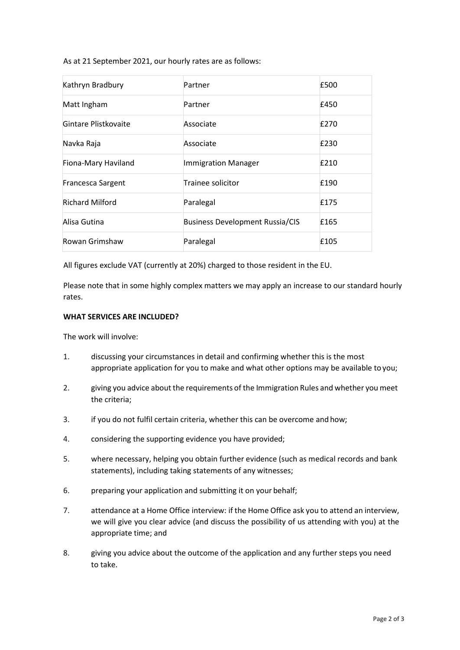As at 21 September 2021, our hourly rates are as follows:

| Kathryn Bradbury         | Partner                                | £500 |
|--------------------------|----------------------------------------|------|
| Matt Ingham              | Partner                                | £450 |
| Gintare Plistkovaite     | Associate                              | £270 |
| Navka Raja               | Associate                              | £230 |
| Fiona-Mary Haviland      | <b>Immigration Manager</b>             | £210 |
| <b>Francesca Sargent</b> | Trainee solicitor                      | £190 |
| <b>Richard Milford</b>   | Paralegal                              | £175 |
| Alisa Gutina             | <b>Business Development Russia/CIS</b> | £165 |
| Rowan Grimshaw           | Paralegal                              | £105 |

All figures exclude VAT (currently at 20%) charged to those resident in the EU.

Please note that in some highly complex matters we may apply an increase to our standard hourly rates.

## **WHAT SERVICES ARE INCLUDED?**

The work will involve:

- 1. discussing your circumstances in detail and confirming whether this is the most appropriate application for you to make and what other options may be available to you;
- 2. giving you advice about the requirements of the Immigration Rules and whether you meet the criteria;
- 3. if you do not fulfil certain criteria, whether this can be overcome and how;
- 4. considering the supporting evidence you have provided;
- 5. where necessary, helping you obtain further evidence (such as medical records and bank statements), including taking statements of any witnesses;
- 6. preparing your application and submitting it on your behalf;
- 7. attendance at a Home Office interview: if the Home Office ask you to attend an interview, we will give you clear advice (and discuss the possibility of us attending with you) at the appropriate time; and
- 8. giving you advice about the outcome of the application and any further steps you need to take.